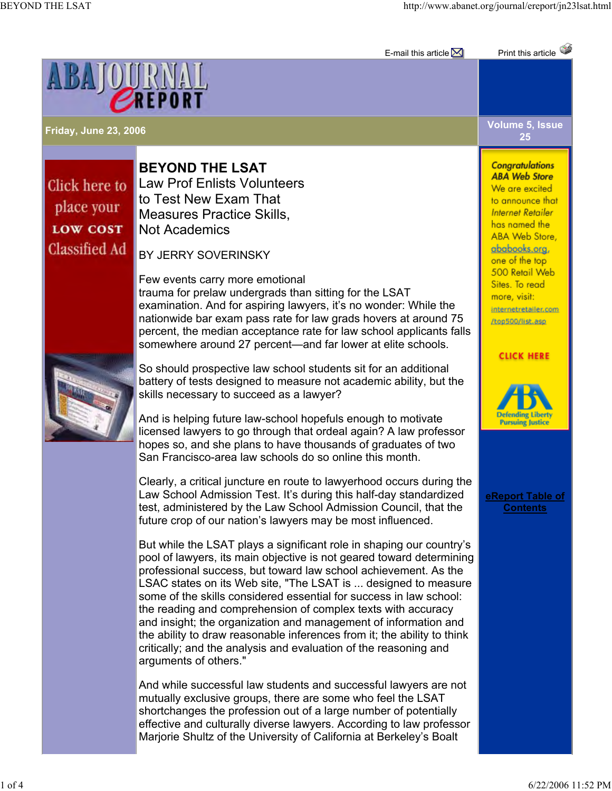

## Click here to place your **LOW COST Classified Ad**

**BEYOND THE LSAT** Law Prof Enlists Volunteers to Test New Exam That Measures Practice Skills, Not Academics

BY JERRY SOVERINSKY

Few events carry more emotional trauma for prelaw undergrads than sitting for the LSAT examination. And for aspiring lawyers, it's no wonder: While the nationwide bar exam pass rate for law grads hovers at around 75 percent, the median acceptance rate for law school applicants falls somewhere around 27 percent—and far lower at elite schools.

So should prospective law school students sit for an additional battery of tests designed to measure not academic ability, but the skills necessary to succeed as a lawyer?

And is helping future law-school hopefuls enough to motivate licensed lawyers to go through that ordeal again? A law professor hopes so, and she plans to have thousands of graduates of two San Francisco-area law schools do so online this month.

Clearly, a critical juncture en route to lawyerhood occurs during the Law School Admission Test. It's during this half-day standardized test, administered by the Law School Admission Council, that the future crop of our nation's lawyers may be most influenced.

But while the LSAT plays a significant role in shaping our country's pool of lawyers, its main objective is not geared toward determining professional success, but toward law school achievement. As the LSAC states on its Web site, "The LSAT is ... designed to measure some of the skills considered essential for success in law school: the reading and comprehension of complex texts with accuracy and insight; the organization and management of information and the ability to draw reasonable inferences from it; the ability to think critically; and the analysis and evaluation of the reasoning and arguments of others."

And while successful law students and successful lawyers are not mutually exclusive groups, there are some who feel the LSAT shortchanges the profession out of a large number of potentially effective and culturally diverse lawyers. According to law professor Marjorie Shultz of the University of California at Berkeley's Boalt

**Friday, June 23, 2006 Volume 5, Issue 25**

E-mail this article Print this article

## **Conaratulations ABA Web Store**

We are excited to announce that **Internet Retailer** has named the ABA Web Store. ababooks.org. one of the top 500 Retail Web Sites, To read more, visit: internetretailer.com /top500/list.asp

## **CLICK HERE**



**eReport Table of Contents**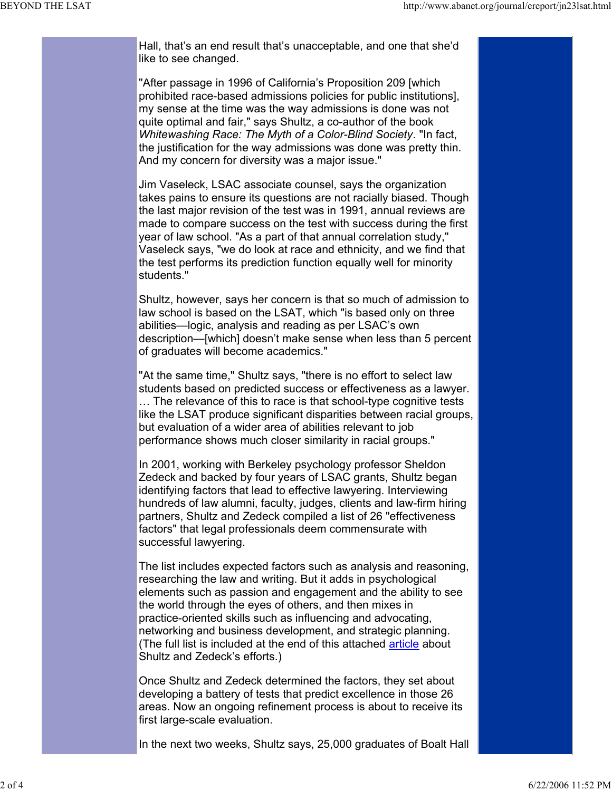Hall, that's an end result that's unacceptable, and one that she'd like to see changed.

"After passage in 1996 of California's Proposition 209 [which prohibited race-based admissions policies for public institutions], my sense at the time was the way admissions is done was not quite optimal and fair," says Shultz, a co-author of the book *Whitewashing Race: The Myth of a Color-Blind Society*. "In fact, the justification for the way admissions was done was pretty thin. And my concern for diversity was a major issue."

Jim Vaseleck, LSAC associate counsel, says the organization takes pains to ensure its questions are not racially biased. Though the last major revision of the test was in 1991, annual reviews are made to compare success on the test with success during the first year of law school. "As a part of that annual correlation study," Vaseleck says, "we do look at race and ethnicity, and we find that the test performs its prediction function equally well for minority students."

Shultz, however, says her concern is that so much of admission to law school is based on the LSAT, which "is based only on three abilities—logic, analysis and reading as per LSAC's own description—[which] doesn't make sense when less than 5 percent of graduates will become academics."

"At the same time," Shultz says, "there is no effort to select law students based on predicted success or effectiveness as a lawyer. … The relevance of this to race is that school-type cognitive tests like the LSAT produce significant disparities between racial groups, but evaluation of a wider area of abilities relevant to job performance shows much closer similarity in racial groups."

In 2001, working with Berkeley psychology professor Sheldon Zedeck and backed by four years of LSAC grants, Shultz began identifying factors that lead to effective lawyering. Interviewing hundreds of law alumni, faculty, judges, clients and law-firm hiring partners, Shultz and Zedeck compiled a list of 26 "effectiveness factors" that legal professionals deem commensurate with successful lawyering.

The list includes expected factors such as analysis and reasoning, researching the law and writing. But it adds in psychological elements such as passion and engagement and the ability to see the world through the eyes of others, and then mixes in practice-oriented skills such as influencing and advocating, networking and business development, and strategic planning. (The full list is included at the end of this attached article about Shultz and Zedeck's efforts.)

Once Shultz and Zedeck determined the factors, they set about developing a battery of tests that predict excellence in those 26 areas. Now an ongoing refinement process is about to receive its first large-scale evaluation.

In the next two weeks, Shultz says, 25,000 graduates of Boalt Hall